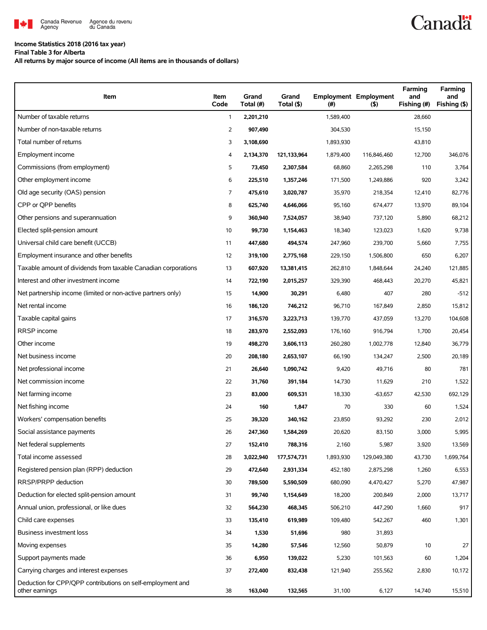

#### **Income Statistics 2018 (2016 tax year)**

**Final Table 3 for Alberta**

**All returns by major source of income (All items are in thousands of dollars)**

| Item                                                                         | Item<br>Code | Grand<br>Total (#) | Grand<br>Total (\$) | (#)       | <b>Employment Employment</b><br>(5) | Farming<br>and<br>Fishing (#) | Farming<br>and<br>Fishing (\$) |
|------------------------------------------------------------------------------|--------------|--------------------|---------------------|-----------|-------------------------------------|-------------------------------|--------------------------------|
| Number of taxable returns                                                    | $\mathbf{1}$ | 2,201,210          |                     | 1,589,400 |                                     | 28,660                        |                                |
| Number of non-taxable returns                                                | 2            | 907,490            |                     | 304,530   |                                     | 15,150                        |                                |
| Total number of returns                                                      | 3            | 3,108,690          |                     | 1,893,930 |                                     | 43,810                        |                                |
| Employment income                                                            | 4            | 2,134,370          | 121,133,964         | 1,879,400 | 116,846,460                         | 12,700                        | 346,076                        |
| Commissions (from employment)                                                | 5            | 73,450             | 2,307,584           | 68,860    | 2,265,298                           | 110                           | 3,764                          |
| Other employment income                                                      | 6            | 225,510            | 1,357,246           | 171,500   | 1,249,886                           | 920                           | 3,242                          |
| Old age security (OAS) pension                                               | 7            | 475,610            | 3,020,787           | 35,970    | 218,354                             | 12,410                        | 82,776                         |
| CPP or OPP benefits                                                          | 8            | 625,740            | 4,646,066           | 95,160    | 674,477                             | 13,970                        | 89,104                         |
| Other pensions and superannuation                                            | 9            | 360,940            | 7,524,057           | 38,940    | 737,120                             | 5,890                         | 68,212                         |
| Elected split-pension amount                                                 | 10           | 99,730             | 1,154,463           | 18,340    | 123,023                             | 1,620                         | 9,738                          |
| Universal child care benefit (UCCB)                                          | 11           | 447,680            | 494,574             | 247,960   | 239,700                             | 5,660                         | 7,755                          |
| Employment insurance and other benefits                                      | 12           | 319,100            | 2,775,168           | 229,150   | 1,506,800                           | 650                           | 6,207                          |
| Taxable amount of dividends from taxable Canadian corporations               | 13           | 607,920            | 13,381,415          | 262,810   | 1,848,644                           | 24,240                        | 121,885                        |
| Interest and other investment income                                         | 14           | 722,190            | 2,015,257           | 329,390   | 468,443                             | 20,270                        | 45,821                         |
| Net partnership income (limited or non-active partners only)                 | 15           | 14,900             | 30,291              | 6,480     | 407                                 | 280                           | $-512$                         |
| Net rental income                                                            | 16           | 186,120            | 746,212             | 96,710    | 167,849                             | 2,850                         | 15,812                         |
| Taxable capital gains                                                        | 17           | 316,570            | 3,223,713           | 139,770   | 437,059                             | 13,270                        | 104,608                        |
| RRSP income                                                                  | 18           | 283,970            | 2,552,093           | 176,160   | 916,794                             | 1,700                         | 20,454                         |
| Other income                                                                 | 19           | 498,270            | 3,606,113           | 260,280   | 1,002,778                           | 12,840                        | 36,779                         |
| Net business income                                                          | 20           | 208,180            | 2,653,107           | 66,190    | 134,247                             | 2,500                         | 20,189                         |
| Net professional income                                                      | 21           | 26,640             | 1,090,742           | 9,420     | 49,716                              | 80                            | 781                            |
| Net commission income                                                        | 22           | 31,760             | 391,184             | 14,730    | 11,629                              | 210                           | 1,522                          |
| Net farming income                                                           | 23           | 83,000             | 609,531             | 18,330    | $-63,657$                           | 42,530                        | 692.129                        |
| Net fishing income                                                           | 24           | 160                | 1,847               | 70        | 330                                 | 60                            | 1,524                          |
| Workers' compensation benefits                                               | 25           | 39,320             | 340,162             | 23,850    | 93,292                              | 230                           | 2,012                          |
| Social assistance payments                                                   | 26           | 247,360            | 1,584,269           | 20,620    | 83,150                              | 3,000                         | 5,995                          |
| Net federal supplements                                                      | 27           | 152,410            | 788,316             | 2,160     | 5,987                               | 3,920                         | 13,569                         |
| Total income assessed                                                        | 28           | 3,022,940          | 177,574,731         | 1,893,930 | 129,049,380                         | 43,730                        | 1,699,764                      |
| Registered pension plan (RPP) deduction                                      | 29           | 472,640            | 2,931,334           | 452,180   | 2,875,298                           | 1,260                         | 6,553                          |
| RRSP/PRPP deduction                                                          | 30           | 789,500            | 5,590,509           | 680,090   | 4,470,427                           | 5,270                         | 47,987                         |
| Deduction for elected split-pension amount                                   | 31           | 99,740             | 1,154,649           | 18,200    | 200,849                             | 2,000                         | 13,717                         |
| Annual union, professional, or like dues                                     | 32           | 564,230            | 468,345             | 506,210   | 447,290                             | 1,660                         | 917                            |
| Child care expenses                                                          | 33           | 135,410            | 619,989             | 109,480   | 542,267                             | 460                           | 1,301                          |
| Business investment loss                                                     | 34           | 1,530              | 51,696              | 980       | 31,893                              |                               |                                |
| Moving expenses                                                              | 35           | 14,280             | 57,546              | 12,560    | 50,879                              | 10                            | 27                             |
| Support payments made                                                        | 36           | 6,950              | 139,022             | 5,230     | 101,563                             | 60                            | 1,204                          |
| Carrying charges and interest expenses                                       | 37           | 272,400            | 832,438             | 121,940   | 255,562                             | 2,830                         | 10,172                         |
| Deduction for CPP/QPP contributions on self-employment and<br>other earnings | 38           | 163,040            | 132,565             | 31,100    | 6,127                               | 14,740                        | 15,510                         |

**Canadä**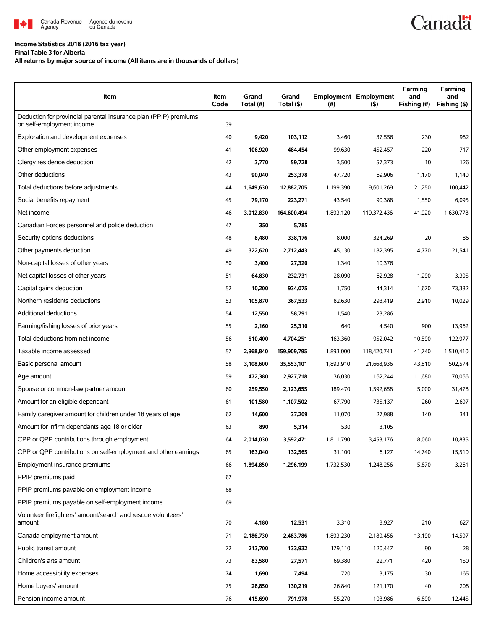

## **Income Statistics 2018 (2016 tax year)**

**Final Table 3 for Alberta**

### **All returns by major source of income (All items are in thousands of dollars)**

| Item                                                                                          | Item<br>Code | Grand<br>Total (#) | Grand<br>Total (\$) | (#)       | <b>Employment Employment</b><br>$($ \$) | Farming<br>and<br>Fishing (#) | Farming<br>and<br>Fishing (\$) |
|-----------------------------------------------------------------------------------------------|--------------|--------------------|---------------------|-----------|-----------------------------------------|-------------------------------|--------------------------------|
| Deduction for provincial parental insurance plan (PPIP) premiums<br>on self-employment income | 39           |                    |                     |           |                                         |                               |                                |
| Exploration and development expenses                                                          | 40           | 9,420              | 103,112             | 3,460     | 37,556                                  | 230                           | 982                            |
| Other employment expenses                                                                     | 41           | 106,920            | 484,454             | 99,630    | 452,457                                 | 220                           | 717                            |
| Clergy residence deduction                                                                    | 42           | 3,770              | 59,728              | 3,500     | 57,373                                  | 10                            | 126                            |
| Other deductions                                                                              | 43           | 90,040             | 253,378             | 47,720    | 69,906                                  | 1,170                         | 1,140                          |
| Total deductions before adjustments                                                           | 44           | 1,649,630          | 12,882,705          | 1,199,390 | 9,601,269                               | 21,250                        | 100,442                        |
| Social benefits repayment                                                                     | 45           | 79,170             | 223,271             | 43,540    | 90,388                                  | 1,550                         | 6,095                          |
| Net income                                                                                    | 46           | 3,012,830          | 164,600,494         | 1,893,120 | 119,372,436                             | 41,920                        | 1,630,778                      |
| Canadian Forces personnel and police deduction                                                | 47           | 350                | 5,785               |           |                                         |                               |                                |
| Security options deductions                                                                   | 48           | 8,480              | 338,176             | 8,000     | 324,269                                 | 20                            | 86                             |
| Other payments deduction                                                                      | 49           | 322,620            | 2,712,443           | 45,130    | 182,395                                 | 4,770                         | 21,541                         |
| Non-capital losses of other years                                                             | 50           | 3,400              | 27,320              | 1,340     | 10,376                                  |                               |                                |
| Net capital losses of other years                                                             | 51           | 64,830             | 232,731             | 28,090    | 62,928                                  | 1,290                         | 3,305                          |
| Capital gains deduction                                                                       | 52           | 10,200             | 934,075             | 1,750     | 44,314                                  | 1,670                         | 73,382                         |
| Northern residents deductions                                                                 | 53           | 105,870            | 367,533             | 82,630    | 293,419                                 | 2,910                         | 10,029                         |
| Additional deductions                                                                         | 54           | 12,550             | 58,791              | 1,540     | 23,286                                  |                               |                                |
| Farming/fishing losses of prior years                                                         | 55           | 2,160              | 25,310              | 640       | 4,540                                   | 900                           | 13,962                         |
| Total deductions from net income                                                              | 56           | 510,400            | 4,704,251           | 163,360   | 952,042                                 | 10,590                        | 122,977                        |
| Taxable income assessed                                                                       | 57           | 2,968,840          | 159,909,795         | 1,893,000 | 118,420,741                             | 41,740                        | 1,510,410                      |
| Basic personal amount                                                                         | 58           | 3,108,600          | 35,553,101          | 1,893,910 | 21,668,936                              | 43,810                        | 502,574                        |
| Age amount                                                                                    | 59           | 472,380            | 2,927,718           | 36,030    | 162,244                                 | 11,680                        | 70,066                         |
| Spouse or common-law partner amount                                                           | 60           | 259,550            | 2,123,655           | 189,470   | 1,592,658                               | 5,000                         | 31,478                         |
| Amount for an eligible dependant                                                              | 61           | 101,580            | 1,107,502           | 67,790    | 735,137                                 | 260                           | 2,697                          |
| Family caregiver amount for children under 18 years of age                                    | 62           | 14,600             | 37,209              | 11,070    | 27,988                                  | 140                           | 341                            |
| Amount for infirm dependants age 18 or older                                                  | 63           | 890                | 5,314               | 530       | 3,105                                   |                               |                                |
| CPP or QPP contributions through employment                                                   | 64           | 2,014,030          | 3,592,471           | 1,811,790 | 3,453,176                               | 8,060                         | 10,835                         |
| CPP or QPP contributions on self-employment and other earnings                                | 65           | 163,040            | 132,565             | 31,100    | 6,127                                   | 14,740                        | 15,510                         |
| Employment insurance premiums                                                                 | 66           | 1,894,850          | 1,296,199           | 1,732,530 | 1,248,256                               | 5,870                         | 3,261                          |
| PPIP premiums paid                                                                            | 67           |                    |                     |           |                                         |                               |                                |
| PPIP premiums payable on employment income                                                    | 68           |                    |                     |           |                                         |                               |                                |
| PPIP premiums payable on self-employment income                                               | 69           |                    |                     |           |                                         |                               |                                |
| Volunteer firefighters' amount/search and rescue volunteers'<br>amount                        | 70           | 4,180              | 12,531              | 3,310     | 9,927                                   | 210                           | 627                            |
| Canada employment amount                                                                      | 71           | 2,186,730          | 2,483,786           | 1,893,230 | 2,189,456                               | 13,190                        | 14,597                         |
| Public transit amount                                                                         | 72           | 213,700            | 133,932             | 179,110   | 120,447                                 | 90                            | 28                             |
| Children's arts amount                                                                        | 73           | 83,580             | 27,571              | 69,380    | 22,771                                  | 420                           | 150                            |
| Home accessibility expenses                                                                   | 74           | 1,690              | 7,494               | 720       | 3,175                                   | 30                            | 165                            |
| Home buyers' amount                                                                           | 75           | 28,850             | 130,219             | 26,840    | 121,170                                 | 40                            | 208                            |
| Pension income amount                                                                         | 76           | 415,690            | 791,978             | 55,270    | 103,986                                 | 6,890                         | 12,445                         |

**Canadä**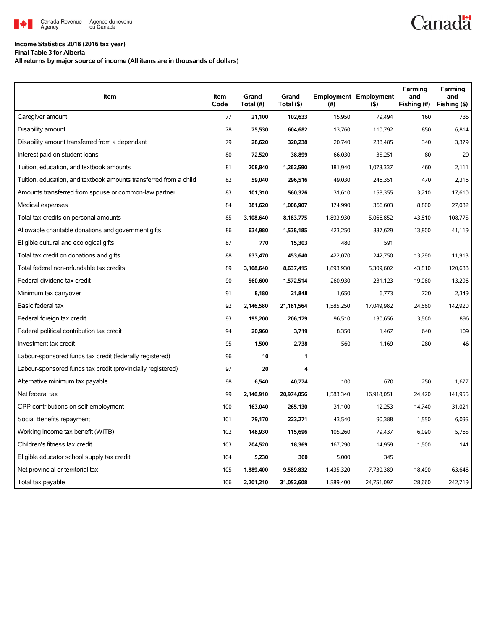

#### **Income Statistics 2018 (2016 tax year)**

**Final Table 3 for Alberta**

**All returns by major source of income (All items are in thousands of dollars)**

| <b>Item</b>                                                       | Item<br>Code | Grand<br>Total (#) | Grand<br>Total (\$) | (# )      | <b>Employment Employment</b><br>(5) | Farming<br>and<br>Fishing (#) | Farming<br>and<br>Fishing (\$) |
|-------------------------------------------------------------------|--------------|--------------------|---------------------|-----------|-------------------------------------|-------------------------------|--------------------------------|
| Caregiver amount                                                  | 77           | 21,100             | 102,633             | 15,950    | 79,494                              | 160                           | 735                            |
| Disability amount                                                 | 78           | 75,530             | 604,682             | 13,760    | 110,792                             | 850                           | 6.814                          |
| Disability amount transferred from a dependant                    | 79           | 28,620             | 320,238             | 20,740    | 238,485                             | 340                           | 3,379                          |
| Interest paid on student loans                                    | 80           | 72,520             | 38,899              | 66,030    | 35,251                              | 80                            | 29                             |
| Tuition, education, and textbook amounts                          | 81           | 208,840            | 1,262,590           | 181,940   | 1,073,337                           | 460                           | 2,111                          |
| Tuition, education, and textbook amounts transferred from a child | 82           | 59,040             | 296,516             | 49,030    | 246,351                             | 470                           | 2,316                          |
| Amounts transferred from spouse or common-law partner             | 83           | 101,310            | 560,326             | 31,610    | 158,355                             | 3,210                         | 17,610                         |
| Medical expenses                                                  | 84           | 381,620            | 1,006,907           | 174,990   | 366,603                             | 8,800                         | 27,082                         |
| Total tax credits on personal amounts                             | 85           | 3,108,640          | 8,183,775           | 1,893,930 | 5,066,852                           | 43,810                        | 108,775                        |
| Allowable charitable donations and government gifts               | 86           | 634,980            | 1,538,185           | 423,250   | 837,629                             | 13,800                        | 41,119                         |
| Eligible cultural and ecological gifts                            | 87           | 770                | 15,303              | 480       | 591                                 |                               |                                |
| Total tax credit on donations and gifts                           | 88           | 633,470            | 453,640             | 422,070   | 242,750                             | 13,790                        | 11,913                         |
| Total federal non-refundable tax credits                          | 89           | 3,108,640          | 8,637,415           | 1,893,930 | 5,309,602                           | 43,810                        | 120,688                        |
| Federal dividend tax credit                                       | 90           | 560,600            | 1,572,514           | 260,930   | 231,123                             | 19,060                        | 13,296                         |
| Minimum tax carryover                                             | 91           | 8,180              | 21,848              | 1,650     | 6,773                               | 720                           | 2.349                          |
| Basic federal tax                                                 | 92           | 2,146,580          | 21,181,564          | 1,585,250 | 17,049,982                          | 24,660                        | 142,920                        |
| Federal foreign tax credit                                        | 93           | 195,200            | 206,179             | 96,510    | 130,656                             | 3,560                         | 896                            |
| Federal political contribution tax credit                         | 94           | 20,960             | 3,719               | 8,350     | 1,467                               | 640                           | 109                            |
| Investment tax credit                                             | 95           | 1,500              | 2,738               | 560       | 1,169                               | 280                           | 46                             |
| Labour-sponsored funds tax credit (federally registered)          | 96           | 10                 | 1                   |           |                                     |                               |                                |
| Labour-sponsored funds tax credit (provincially registered)       | 97           | 20                 | 4                   |           |                                     |                               |                                |
| Alternative minimum tax payable                                   | 98           | 6,540              | 40,774              | 100       | 670                                 | 250                           | 1,677                          |
| Net federal tax                                                   | 99           | 2,140,910          | 20,974,056          | 1,583,340 | 16,918,051                          | 24,420                        | 141,955                        |
| CPP contributions on self-employment                              | 100          | 163,040            | 265,130             | 31,100    | 12,253                              | 14,740                        | 31,021                         |
| Social Benefits repayment                                         | 101          | 79,170             | 223,271             | 43,540    | 90,388                              | 1,550                         | 6,095                          |
| Working income tax benefit (WITB)                                 | 102          | 148,930            | 115,696             | 105,260   | 79,437                              | 6,090                         | 5,765                          |
| Children's fitness tax credit                                     | 103          | 204,520            | 18,369              | 167,290   | 14,959                              | 1,500                         | 141                            |
| Eligible educator school supply tax credit                        | 104          | 5,230              | 360                 | 5,000     | 345                                 |                               |                                |
| Net provincial or territorial tax                                 | 105          | 1,889,400          | 9,589,832           | 1,435,320 | 7,730,389                           | 18,490                        | 63,646                         |
| Total tax payable                                                 | 106          | 2,201,210          | 31,052,608          | 1,589,400 | 24,751,097                          | 28,660                        | 242,719                        |

# **Canadä**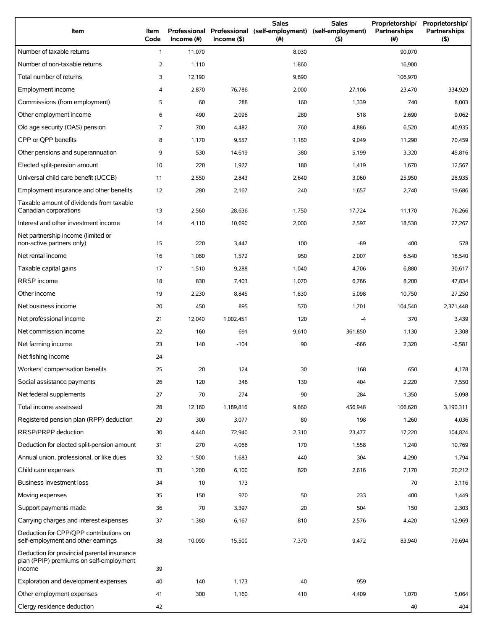| Item                                                                                             | Item<br>Code   | Professional<br>Income (#) | $Income($ \$) | <b>Sales</b><br>Professional (self-employment)<br>(# ) | <b>Sales</b><br>(self-employment)<br>(5) | Proprietorship/<br>Partnerships<br>(#) | Proprietorship/<br>Partnerships<br>(5) |
|--------------------------------------------------------------------------------------------------|----------------|----------------------------|---------------|--------------------------------------------------------|------------------------------------------|----------------------------------------|----------------------------------------|
| Number of taxable returns                                                                        | $\mathbf{1}$   | 11,070                     |               | 8,030                                                  |                                          | 90,070                                 |                                        |
| Number of non-taxable returns                                                                    | $\overline{2}$ | 1,110                      |               | 1,860                                                  |                                          | 16,900                                 |                                        |
| Total number of returns                                                                          | 3              | 12,190                     |               | 9,890                                                  |                                          | 106,970                                |                                        |
| Employment income                                                                                | 4              | 2,870                      | 76,786        | 2,000                                                  | 27,106                                   | 23,470                                 | 334,929                                |
| Commissions (from employment)                                                                    | 5              | 60                         | 288           | 160                                                    | 1,339                                    | 740                                    | 8,003                                  |
| Other employment income                                                                          | 6              | 490                        | 2,096         | 280                                                    | 518                                      | 2,690                                  | 9,062                                  |
| Old age security (OAS) pension                                                                   | 7              | 700                        | 4,482         | 760                                                    | 4,886                                    | 6,520                                  | 40,935                                 |
| CPP or OPP benefits                                                                              | 8              | 1,170                      | 9,557         | 1,180                                                  | 9,049                                    | 11,290                                 | 70,459                                 |
| Other pensions and superannuation                                                                | 9              | 530                        | 14,619        | 380                                                    | 5,199                                    | 3,320                                  | 45,816                                 |
| Elected split-pension amount                                                                     | 10             | 220                        | 1,927         | 180                                                    | 1,419                                    | 1,670                                  | 12,567                                 |
| Universal child care benefit (UCCB)                                                              | 11             | 2,550                      | 2,843         | 2,640                                                  | 3,060                                    | 25,950                                 | 28,935                                 |
| Employment insurance and other benefits                                                          | 12             | 280                        | 2,167         | 240                                                    | 1,657                                    | 2,740                                  | 19,686                                 |
| Taxable amount of dividends from taxable<br>Canadian corporations                                | 13             | 2,560                      | 28,636        | 1,750                                                  | 17,724                                   | 11,170                                 | 76,266                                 |
| Interest and other investment income                                                             | 14             | 4,110                      | 10,690        | 2,000                                                  | 2,597                                    | 18,530                                 | 27,267                                 |
| Net partnership income (limited or<br>non-active partners only)                                  | 15             | 220                        | 3,447         | 100                                                    | -89                                      | 400                                    | 578                                    |
| Net rental income                                                                                | 16             | 1,080                      | 1,572         | 950                                                    | 2,007                                    | 6,540                                  | 18,540                                 |
| Taxable capital gains                                                                            | 17             | 1,510                      | 9,288         | 1,040                                                  | 4,706                                    | 6,880                                  | 30,617                                 |
| RRSP income                                                                                      | 18             | 830                        | 7,403         | 1,070                                                  | 6,766                                    | 8,200                                  | 47,834                                 |
| Other income                                                                                     | 19             | 2,230                      | 8,845         | 1,830                                                  | 5,098                                    | 10,750                                 | 27,250                                 |
| Net business income                                                                              | 20             | 450                        | 895           | 570                                                    | 1,701                                    | 104,540                                | 2,371,448                              |
| Net professional income                                                                          | 21             | 12,040                     | 1,002,451     | 120                                                    | $-4$                                     | 370                                    | 3,439                                  |
| Net commission income                                                                            | 22             | 160                        | 691           | 9,610                                                  | 361,850                                  | 1,130                                  | 3,308                                  |
| Net farming income                                                                               | 23             | 140                        | $-104$        | 90                                                     | -666                                     | 2,320                                  | $-6,581$                               |
| Net fishing income                                                                               | 24             |                            |               |                                                        |                                          |                                        |                                        |
| Workers' compensation benefits                                                                   | 25             | 20                         | 124           | 30                                                     | 168                                      | 650                                    | 4,178                                  |
| Social assistance payments                                                                       | 26             | 120                        | 348           | 130                                                    | 404                                      | 2,220                                  | 7,550                                  |
| Net federal supplements                                                                          | 27             | 70                         | 274           | 90                                                     | 284                                      | 1,350                                  | 5,098                                  |
| Total income assessed                                                                            | 28             | 12,160                     | 1,189,816     | 9,860                                                  | 456,948                                  | 106,620                                | 3,190,311                              |
| Registered pension plan (RPP) deduction                                                          | 29             | 300                        | 3,077         | 80                                                     | 198                                      | 1,260                                  | 4,036                                  |
| RRSP/PRPP deduction                                                                              | 30             | 4,440                      | 72,940        | 2,310                                                  | 23,477                                   | 17,220                                 | 104,824                                |
| Deduction for elected split-pension amount                                                       | 31             | 270                        | 4,066         | 170                                                    | 1,558                                    | 1,240                                  | 10,769                                 |
| Annual union, professional, or like dues                                                         | 32             | 1,500                      | 1,683         | 440                                                    | 304                                      | 4,290                                  | 1,794                                  |
| Child care expenses                                                                              | 33             | 1,200                      | 6,100         | 820                                                    | 2,616                                    | 7,170                                  | 20,212                                 |
| Business investment loss                                                                         | 34             | 10                         | 173           |                                                        |                                          | 70                                     | 3,116                                  |
| Moving expenses                                                                                  | 35             | 150                        | 970           | 50                                                     | 233                                      | 400                                    | 1,449                                  |
| Support payments made                                                                            | 36             | 70                         | 3,397         | 20                                                     | 504                                      | 150                                    | 2,303                                  |
| Carrying charges and interest expenses                                                           | 37             | 1,380                      | 6,167         | 810                                                    | 2,576                                    | 4,420                                  | 12,969                                 |
| Deduction for CPP/QPP contributions on<br>self-employment and other earnings                     | 38             | 10,090                     | 15,500        | 7,370                                                  | 9,472                                    | 83,940                                 | 79,694                                 |
| Deduction for provincial parental insurance<br>plan (PPIP) premiums on self-employment<br>income | 39             |                            |               |                                                        |                                          |                                        |                                        |
| Exploration and development expenses                                                             | 40             | 140                        | 1,173         | 40                                                     | 959                                      |                                        |                                        |
| Other employment expenses                                                                        | 41             | 300                        | 1,160         | 410                                                    | 4,409                                    | 1,070                                  | 5,064                                  |
| Clergy residence deduction                                                                       | 42             |                            |               |                                                        |                                          | 40                                     | 404                                    |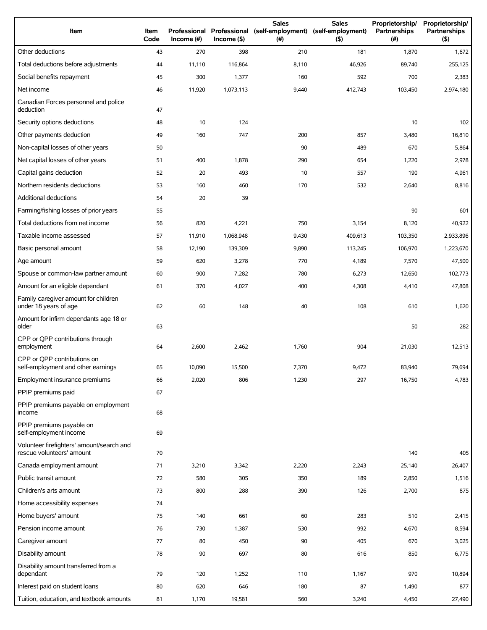| Item                                                                   | Item<br>Code | Income $(\#)$ | Income(   | <b>Sales</b><br>Professional Professional (self-employment) (self-employment)<br>(# ) | <b>Sales</b><br>(5) | Proprietorship/<br>Partnerships<br>(# ) | Proprietorship/<br><b>Partnerships</b><br>(5) |
|------------------------------------------------------------------------|--------------|---------------|-----------|---------------------------------------------------------------------------------------|---------------------|-----------------------------------------|-----------------------------------------------|
| Other deductions                                                       | 43           | 270           | 398       | 210                                                                                   | 181                 | 1,870                                   | 1,672                                         |
| Total deductions before adjustments                                    | 44           | 11,110        | 116,864   | 8,110                                                                                 | 46,926              | 89,740                                  | 255,125                                       |
| Social benefits repayment                                              | 45           | 300           | 1,377     | 160                                                                                   | 592                 | 700                                     | 2,383                                         |
| Net income                                                             | 46           | 11,920        | 1,073,113 | 9,440                                                                                 | 412,743             | 103,450                                 | 2,974,180                                     |
| Canadian Forces personnel and police<br>deduction                      | 47           |               |           |                                                                                       |                     |                                         |                                               |
| Security options deductions                                            | 48           | 10            | 124       |                                                                                       |                     | 10                                      | 102                                           |
| Other payments deduction                                               | 49           | 160           | 747       | 200                                                                                   | 857                 | 3,480                                   | 16,810                                        |
| Non-capital losses of other years                                      | 50           |               |           | 90                                                                                    | 489                 | 670                                     | 5,864                                         |
| Net capital losses of other years                                      | 51           | 400           | 1,878     | 290                                                                                   | 654                 | 1,220                                   | 2,978                                         |
| Capital gains deduction                                                | 52           | 20            | 493       | 10                                                                                    | 557                 | 190                                     | 4,961                                         |
| Northern residents deductions                                          | 53           | 160           | 460       | 170                                                                                   | 532                 | 2,640                                   | 8,816                                         |
| Additional deductions                                                  | 54           | 20            | 39        |                                                                                       |                     |                                         |                                               |
| Farming/fishing losses of prior years                                  | 55           |               |           |                                                                                       |                     | 90                                      | 601                                           |
| Total deductions from net income                                       | 56           | 820           | 4,221     | 750                                                                                   | 3,154               | 8,120                                   | 40,922                                        |
| Taxable income assessed                                                | 57           | 11,910        | 1,068,948 | 9,430                                                                                 | 409,613             | 103,350                                 | 2,933,896                                     |
| Basic personal amount                                                  | 58           | 12,190        | 139,309   | 9,890                                                                                 | 113,245             | 106,970                                 | 1,223,670                                     |
| Age amount                                                             | 59           | 620           | 3,278     | 770                                                                                   | 4,189               | 7,570                                   | 47,500                                        |
| Spouse or common-law partner amount                                    | 60           | 900           | 7,282     | 780                                                                                   | 6,273               | 12,650                                  | 102,773                                       |
| Amount for an eligible dependant                                       | 61           | 370           | 4,027     | 400                                                                                   | 4,308               | 4,410                                   | 47,808                                        |
| Family caregiver amount for children<br>under 18 years of age          | 62           | 60            | 148       | 40                                                                                    | 108                 | 610                                     | 1,620                                         |
| Amount for infirm dependants age 18 or<br>older                        | 63           |               |           |                                                                                       |                     | 50                                      | 282                                           |
| CPP or QPP contributions through<br>employment                         | 64           | 2,600         | 2,462     | 1,760                                                                                 | 904                 | 21,030                                  | 12,513                                        |
| CPP or QPP contributions on<br>self-employment and other earnings      | 65           | 10,090        | 15,500    | 7,370                                                                                 | 9,472               | 83,940                                  | 79,694                                        |
| Employment insurance premiums                                          | 66           | 2,020         | 806       | 1,230                                                                                 | 297                 | 16,750                                  | 4,783                                         |
| PPIP premiums paid                                                     | 67           |               |           |                                                                                       |                     |                                         |                                               |
| PPIP premiums payable on employment<br>income                          | 68           |               |           |                                                                                       |                     |                                         |                                               |
| PPIP premiums payable on<br>self-employment income                     | 69           |               |           |                                                                                       |                     |                                         |                                               |
| Volunteer firefighters' amount/search and<br>rescue volunteers' amount | 70           |               |           |                                                                                       |                     | 140                                     | 405                                           |
| Canada employment amount                                               | 71           | 3,210         | 3,342     | 2,220                                                                                 | 2,243               | 25,140                                  | 26,407                                        |
| Public transit amount                                                  | 72           | 580           | 305       | 350                                                                                   | 189                 | 2,850                                   | 1,516                                         |
| Children's arts amount                                                 | 73           | 800           | 288       | 390                                                                                   | 126                 | 2,700                                   | 875                                           |
| Home accessibility expenses                                            | 74           |               |           |                                                                                       |                     |                                         |                                               |
| Home buyers' amount                                                    | 75           | 140           | 661       | 60                                                                                    | 283                 | 510                                     | 2,415                                         |
| Pension income amount                                                  | 76           | 730           | 1,387     | 530                                                                                   | 992                 | 4,670                                   | 8,594                                         |
| Caregiver amount                                                       | 77           | 80            | 450       | 90                                                                                    | 405                 | 670                                     | 3,025                                         |
| Disability amount                                                      | 78           | 90            | 697       | 80                                                                                    | 616                 | 850                                     | 6,775                                         |
| Disability amount transferred from a<br>dependant                      | 79           | 120           | 1,252     | 110                                                                                   | 1,167               | 970                                     | 10,894                                        |
| Interest paid on student loans                                         | 80           | 620           | 646       | 180                                                                                   | 87                  | 1,490                                   | 877                                           |
| Tuition, education, and textbook amounts                               | 81           | 1,170         | 19,581    | 560                                                                                   | 3,240               | 4,450                                   | 27,490                                        |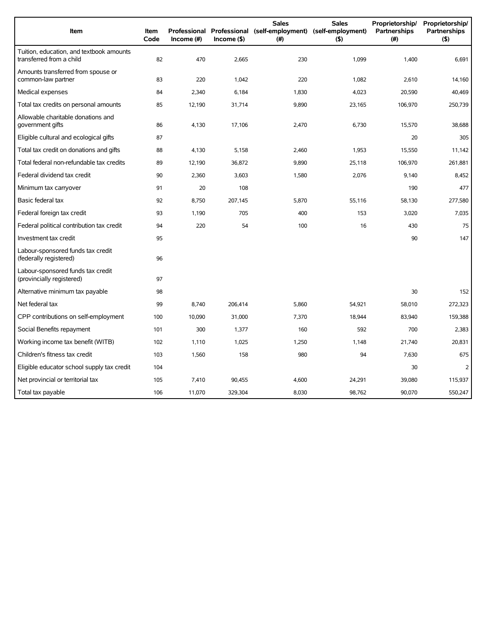| Item                                                                 | <b>Item</b><br>Code | Income $(\#)$ | $Income($ \$) | <b>Sales</b><br>Professional Professional (self-employment) (self-employment)<br>(#) | <b>Sales</b><br>(5) | Proprietorship/<br>Partnerships<br>(#) | Proprietorship/<br><b>Partnerships</b><br>(5) |
|----------------------------------------------------------------------|---------------------|---------------|---------------|--------------------------------------------------------------------------------------|---------------------|----------------------------------------|-----------------------------------------------|
| Tuition, education, and textbook amounts<br>transferred from a child | 82                  | 470           | 2,665         | 230                                                                                  | 1,099               | 1,400                                  | 6,691                                         |
| Amounts transferred from spouse or<br>common-law partner             | 83                  | 220           | 1,042         | 220                                                                                  | 1,082               | 2,610                                  | 14,160                                        |
| Medical expenses                                                     | 84                  | 2,340         | 6,184         | 1,830                                                                                | 4,023               | 20,590                                 | 40,469                                        |
| Total tax credits on personal amounts                                | 85                  | 12,190        | 31,714        | 9,890                                                                                | 23,165              | 106,970                                | 250,739                                       |
| Allowable charitable donations and<br>government gifts               | 86                  | 4,130         | 17,106        | 2,470                                                                                | 6,730               | 15,570                                 | 38,688                                        |
| Eligible cultural and ecological gifts                               | 87                  |               |               |                                                                                      |                     | 20                                     | 305                                           |
| Total tax credit on donations and gifts                              | 88                  | 4,130         | 5,158         | 2,460                                                                                | 1,953               | 15,550                                 | 11,142                                        |
| Total federal non-refundable tax credits                             | 89                  | 12,190        | 36,872        | 9,890                                                                                | 25,118              | 106,970                                | 261,881                                       |
| Federal dividend tax credit                                          | 90                  | 2,360         | 3,603         | 1,580                                                                                | 2,076               | 9,140                                  | 8,452                                         |
| Minimum tax carryover                                                | 91                  | 20            | 108           |                                                                                      |                     | 190                                    | 477                                           |
| Basic federal tax                                                    | 92                  | 8,750         | 207,145       | 5,870                                                                                | 55,116              | 58,130                                 | 277,580                                       |
| Federal foreign tax credit                                           | 93                  | 1,190         | 705           | 400                                                                                  | 153                 | 3,020                                  | 7,035                                         |
| Federal political contribution tax credit                            | 94                  | 220           | 54            | 100                                                                                  | 16                  | 430                                    | 75                                            |
| Investment tax credit                                                | 95                  |               |               |                                                                                      |                     | 90                                     | 147                                           |
| Labour-sponsored funds tax credit<br>(federally registered)          | 96                  |               |               |                                                                                      |                     |                                        |                                               |
| Labour-sponsored funds tax credit<br>(provincially registered)       | 97                  |               |               |                                                                                      |                     |                                        |                                               |
| Alternative minimum tax payable                                      | 98                  |               |               |                                                                                      |                     | 30                                     | 152                                           |
| Net federal tax                                                      | 99                  | 8,740         | 206,414       | 5,860                                                                                | 54,921              | 58,010                                 | 272,323                                       |
| CPP contributions on self-employment                                 | 100                 | 10,090        | 31,000        | 7,370                                                                                | 18,944              | 83,940                                 | 159,388                                       |
| Social Benefits repayment                                            | 101                 | 300           | 1,377         | 160                                                                                  | 592                 | 700                                    | 2,383                                         |
| Working income tax benefit (WITB)                                    | 102                 | 1,110         | 1,025         | 1,250                                                                                | 1,148               | 21,740                                 | 20,831                                        |
| Children's fitness tax credit                                        | 103                 | 1,560         | 158           | 980                                                                                  | 94                  | 7,630                                  | 675                                           |
| Eligible educator school supply tax credit                           | 104                 |               |               |                                                                                      |                     | 30                                     | 2                                             |
| Net provincial or territorial tax                                    | 105                 | 7.410         | 90,455        | 4,600                                                                                | 24,291              | 39,080                                 | 115,937                                       |
| Total tax payable                                                    | 106                 | 11,070        | 329,304       | 8,030                                                                                | 98,762              | 90,070                                 | 550,247                                       |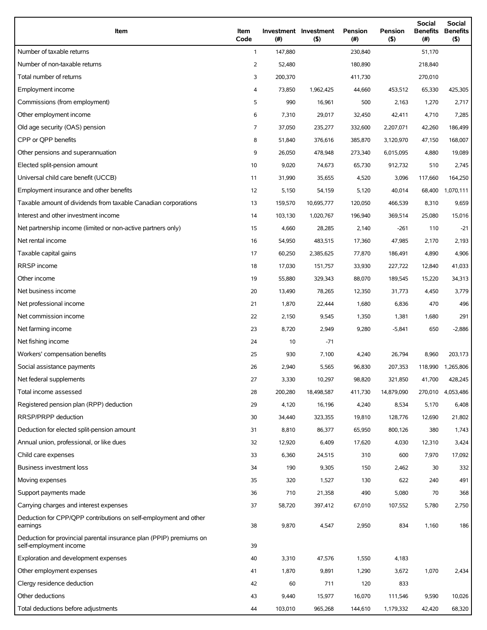| Item                                                                                          | Item<br>Code   | (#)     | Investment Investment<br>(5) | Pension<br>(#) | Pension<br>(5) | <b>Social</b><br><b>Benefits</b><br>(# ) | Social<br><b>Benefits</b><br>(5) |
|-----------------------------------------------------------------------------------------------|----------------|---------|------------------------------|----------------|----------------|------------------------------------------|----------------------------------|
| Number of taxable returns                                                                     | $\mathbf{1}$   | 147,880 |                              | 230,840        |                | 51,170                                   |                                  |
| Number of non-taxable returns                                                                 | $\overline{2}$ | 52,480  |                              | 180,890        |                | 218,840                                  |                                  |
| Total number of returns                                                                       | 3              | 200,370 |                              | 411,730        |                | 270,010                                  |                                  |
| Employment income                                                                             | 4              | 73,850  | 1,962,425                    | 44,660         | 453,512        | 65,330                                   | 425,305                          |
| Commissions (from employment)                                                                 | 5              | 990     | 16,961                       | 500            | 2,163          | 1,270                                    | 2,717                            |
| Other employment income                                                                       | 6              | 7,310   | 29,017                       | 32,450         | 42,411         | 4,710                                    | 7,285                            |
| Old age security (OAS) pension                                                                | 7              | 37,050  | 235,277                      | 332,600        | 2,207,071      | 42,260                                   | 186,499                          |
| CPP or OPP benefits                                                                           | 8              | 51,840  | 376,616                      | 385,870        | 3,120,970      | 47,150                                   | 168,007                          |
| Other pensions and superannuation                                                             | 9              | 26,050  | 478,948                      | 273,340        | 6,015,095      | 4,880                                    | 19,089                           |
| Elected split-pension amount                                                                  | 10             | 9,020   | 74,673                       | 65,730         | 912,732        | 510                                      | 2,745                            |
| Universal child care benefit (UCCB)                                                           | 11             | 31,990  | 35,655                       | 4,520          | 3,096          | 117,660                                  | 164,250                          |
| Employment insurance and other benefits                                                       | 12             | 5,150   | 54,159                       | 5,120          | 40,014         | 68,400                                   | 1,070,111                        |
| Taxable amount of dividends from taxable Canadian corporations                                | 13             | 159,570 | 10,695,777                   | 120,050        | 466,539        | 8,310                                    | 9,659                            |
| Interest and other investment income                                                          | 14             | 103,130 | 1,020,767                    | 196,940        | 369,514        | 25,080                                   | 15,016                           |
| Net partnership income (limited or non-active partners only)                                  | 15             | 4,660   | 28,285                       | 2,140          | $-261$         | 110                                      | $-21$                            |
| Net rental income                                                                             | 16             | 54,950  | 483,515                      | 17,360         | 47,985         | 2,170                                    | 2,193                            |
| Taxable capital gains                                                                         | 17             | 60,250  | 2,385,625                    | 77,870         | 186,491        | 4,890                                    | 4,906                            |
| RRSP income                                                                                   | 18             | 17,030  | 151,757                      | 33,930         | 227,722        | 12,840                                   | 41,033                           |
| Other income                                                                                  | 19             | 55,880  | 329,343                      | 88,070         | 189,545        | 15,220                                   | 34,313                           |
| Net business income                                                                           | 20             | 13,490  | 78,265                       | 12,350         | 31,773         | 4,450                                    | 3,779                            |
| Net professional income                                                                       | 21             | 1,870   | 22,444                       | 1,680          | 6,836          | 470                                      | 496                              |
| Net commission income                                                                         | 22             | 2,150   | 9,545                        | 1,350          | 1,381          | 1,680                                    | 291                              |
| Net farming income                                                                            | 23             | 8,720   | 2,949                        | 9,280          | $-5,841$       | 650                                      | $-2,886$                         |
| Net fishing income                                                                            | 24             | 10      | $-71$                        |                |                |                                          |                                  |
| Workers' compensation benefits                                                                | 25             | 930     | 7,100                        | 4,240          | 26,794         | 8,960                                    | 203,173                          |
| Social assistance payments                                                                    | 26             | 2,940   | 5,565                        | 96,830         | 207,353        | 118,990                                  | 1,265,806                        |
| Net federal supplements                                                                       | 27             | 3,330   | 10,297                       | 98,820         | 321,850        | 41,700                                   | 428,245                          |
| Total income assessed                                                                         | 28             | 200,280 | 18,498,587                   | 411,730        | 14,879,090     | 270,010                                  | 4,053,486                        |
| Registered pension plan (RPP) deduction                                                       | 29             | 4,120   | 16,196                       | 4,240          | 8,534          | 5,170                                    | 6,408                            |
| RRSP/PRPP deduction                                                                           | 30             | 34,440  | 323,355                      | 19,810         | 128,776        | 12,690                                   | 21,802                           |
| Deduction for elected split-pension amount                                                    | 31             | 8,810   | 86,377                       | 65,950         | 800,126        | 380                                      | 1,743                            |
| Annual union, professional, or like dues                                                      | 32             | 12,920  | 6,409                        | 17,620         | 4,030          | 12,310                                   | 3,424                            |
| Child care expenses                                                                           | 33             | 6,360   | 24,515                       | 310            | 600            | 7,970                                    | 17,092                           |
| Business investment loss                                                                      | 34             | 190     | 9,305                        | 150            | 2,462          | 30                                       | 332                              |
| Moving expenses                                                                               | 35             | 320     | 1,527                        | 130            | 622            | 240                                      | 491                              |
| Support payments made                                                                         | 36             | 710     | 21,358                       | 490            | 5,080          | 70                                       | 368                              |
| Carrying charges and interest expenses                                                        | 37             | 58,720  | 397,412                      | 67,010         | 107,552        | 5,780                                    | 2,750                            |
| Deduction for CPP/QPP contributions on self-employment and other<br>earnings                  | 38             | 9,870   | 4,547                        | 2,950          | 834            | 1,160                                    | 186                              |
| Deduction for provincial parental insurance plan (PPIP) premiums on<br>self-employment income | 39             |         |                              |                |                |                                          |                                  |
| Exploration and development expenses                                                          | 40             | 3,310   | 47,576                       | 1,550          | 4,183          |                                          |                                  |
| Other employment expenses                                                                     | 41             | 1,870   | 9,891                        | 1,290          | 3,672          | 1,070                                    | 2,434                            |
| Clergy residence deduction                                                                    | 42             | 60      | 711                          | 120            | 833            |                                          |                                  |
| Other deductions                                                                              | 43             | 9,440   | 15,977                       | 16,070         | 111,546        | 9,590                                    | 10,026                           |
| Total deductions before adjustments                                                           | 44             | 103,010 | 965,268                      | 144,610        | 1,179,332      | 42,420                                   | 68,320                           |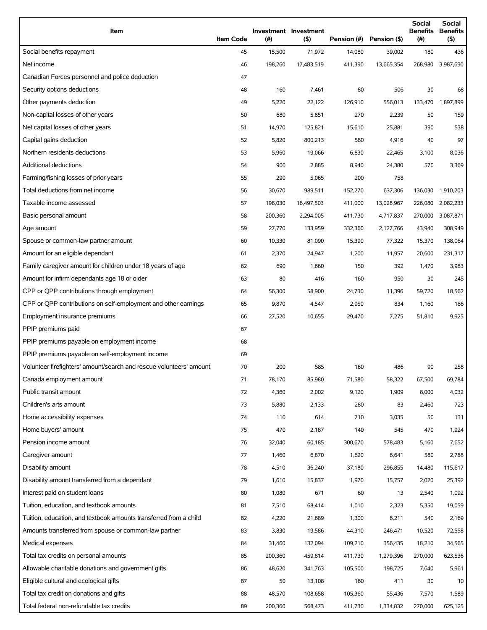| Item                                                                | <b>Item Code</b> | (#)     | Investment Investment<br>$($ \$) | Pension (#) | Pension (\$) | <b>Social</b><br>Benefits<br>(# ) | <b>Social</b><br><b>Benefits</b><br>$($ \$) |
|---------------------------------------------------------------------|------------------|---------|----------------------------------|-------------|--------------|-----------------------------------|---------------------------------------------|
| Social benefits repayment                                           | 45               | 15,500  | 71,972                           | 14,080      | 39,002       | 180                               | 436                                         |
| Net income                                                          | 46               | 198,260 | 17,483,519                       | 411,390     | 13,665,354   |                                   | 268,980 3,987,690                           |
| Canadian Forces personnel and police deduction                      | 47               |         |                                  |             |              |                                   |                                             |
| Security options deductions                                         | 48               | 160     | 7,461                            | 80          | 506          | 30                                | 68                                          |
| Other payments deduction                                            | 49               | 5,220   | 22,122                           | 126,910     | 556,013      | 133,470                           | 1,897,899                                   |
| Non-capital losses of other years                                   | 50               | 680     | 5,851                            | 270         | 2,239        | 50                                | 159                                         |
| Net capital losses of other years                                   | 51               | 14,970  | 125,821                          | 15,610      | 25,881       | 390                               | 538                                         |
| Capital gains deduction                                             | 52               | 5,820   | 800,213                          | 580         | 4,916        | 40                                | 97                                          |
| Northern residents deductions                                       | 53               | 5,960   | 19,066                           | 6,830       | 22,465       | 3,100                             | 8,036                                       |
| Additional deductions                                               | 54               | 900     | 2,885                            | 8,940       | 24,380       | 570                               | 3,369                                       |
| Farming/fishing losses of prior years                               | 55               | 290     | 5,065                            | 200         | 758          |                                   |                                             |
| Total deductions from net income                                    | 56               | 30,670  | 989,511                          | 152,270     | 637,306      | 136,030                           | 1,910,203                                   |
| Taxable income assessed                                             | 57               | 198,030 | 16,497,503                       | 411,000     | 13,028,967   | 226,080                           | 2,082,233                                   |
| Basic personal amount                                               | 58               | 200,360 | 2,294,005                        | 411,730     | 4,717,837    | 270,000                           | 3,087,871                                   |
| Age amount                                                          | 59               | 27,770  | 133,959                          | 332,360     | 2,127,766    | 43,940                            | 308,949                                     |
| Spouse or common-law partner amount                                 | 60               | 10,330  | 81,090                           | 15,390      | 77,322       | 15,370                            | 138,064                                     |
| Amount for an eligible dependant                                    | 61               | 2,370   | 24,947                           | 1,200       | 11,957       | 20,600                            | 231,317                                     |
| Family caregiver amount for children under 18 years of age          | 62               | 690     | 1,660                            | 150         | 392          | 1,470                             | 3,983                                       |
| Amount for infirm dependants age 18 or older                        | 63               | 80      | 416                              | 160         | 950          | 30                                | 245                                         |
| CPP or QPP contributions through employment                         | 64               | 56,300  | 58,900                           | 24,730      | 11,396       | 59,720                            | 18,562                                      |
| CPP or QPP contributions on self-employment and other earnings      | 65               | 9,870   | 4,547                            | 2,950       | 834          | 1,160                             | 186                                         |
| Employment insurance premiums                                       | 66               | 27,520  | 10,655                           | 29,470      | 7,275        | 51,810                            | 9,925                                       |
| PPIP premiums paid                                                  | 67               |         |                                  |             |              |                                   |                                             |
| PPIP premiums payable on employment income                          | 68               |         |                                  |             |              |                                   |                                             |
| PPIP premiums payable on self-employment income                     | 69               |         |                                  |             |              |                                   |                                             |
| Volunteer firefighters' amount/search and rescue volunteers' amount | 70               | 200     | 585                              | 160         | 486          | 90                                | 258                                         |
| Canada employment amount                                            | 71               | 78,170  | 85,980                           | 71,580      | 58,322       | 67,500                            | 69,784                                      |
| Public transit amount                                               | 72               | 4,360   | 2,002                            | 9,120       | 1,909        | 8,000                             | 4,032                                       |
| Children's arts amount                                              | 73               | 5,880   | 2,133                            | 280         | 83           | 2,460                             | 723                                         |
| Home accessibility expenses                                         | 74               | 110     | 614                              | 710         | 3,035        | 50                                | 131                                         |
| Home buyers' amount                                                 | 75               | 470     | 2,187                            | 140         | 545          | 470                               | 1,924                                       |
| Pension income amount                                               | 76               | 32,040  | 60,185                           | 300,670     | 578,483      | 5,160                             | 7,652                                       |
| Caregiver amount                                                    | 77               | 1,460   | 6,870                            | 1,620       | 6,641        | 580                               | 2,788                                       |
| Disability amount                                                   | 78               | 4,510   | 36,240                           | 37,180      | 296,855      | 14,480                            | 115,617                                     |
| Disability amount transferred from a dependant                      | 79               | 1,610   | 15,837                           | 1,970       | 15,757       | 2,020                             | 25,392                                      |
| Interest paid on student loans                                      | 80               | 1,080   | 671                              | 60          | 13           | 2,540                             | 1,092                                       |
| Tuition, education, and textbook amounts                            | 81               | 7,510   | 68,414                           | 1,010       | 2,323        | 5,350                             | 19,059                                      |
| Tuition, education, and textbook amounts transferred from a child   | 82               | 4,220   | 21,689                           | 1,300       | 6,211        | 540                               | 2,169                                       |
| Amounts transferred from spouse or common-law partner               | 83               | 3,830   | 19,586                           | 44,310      | 246,471      | 10,520                            | 72,558                                      |
| Medical expenses                                                    | 84               | 31,460  | 132,094                          | 109,210     | 356,435      | 18,210                            | 34,565                                      |
| Total tax credits on personal amounts                               | 85               | 200,360 | 459,814                          | 411,730     | 1,279,396    | 270,000                           | 623,536                                     |
| Allowable charitable donations and government gifts                 | 86               | 48,620  | 341,763                          | 105,500     | 198,725      | 7,640                             | 5,961                                       |
| Eligible cultural and ecological gifts                              | 87               | 50      | 13,108                           | 160         | 411          | 30                                | 10                                          |
| Total tax credit on donations and gifts                             | 88               | 48,570  | 108,658                          | 105,360     | 55,436       | 7,570                             | 1,589                                       |
| Total federal non-refundable tax credits                            | 89               | 200,360 | 568,473                          | 411,730     | 1,334,832    | 270,000                           | 625,125                                     |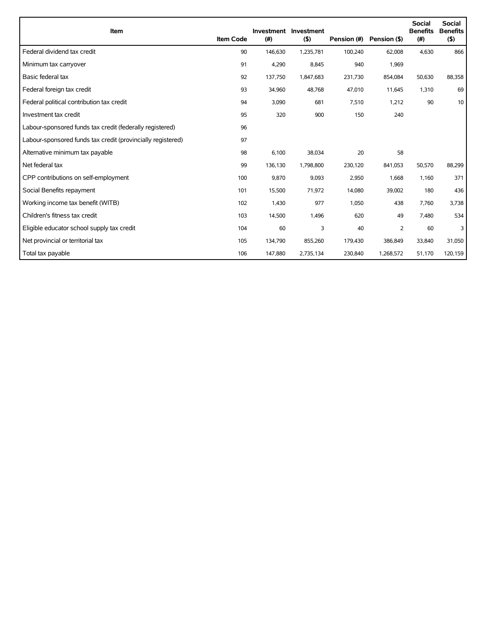| Item                                                        | <b>Item Code</b> | (#)     | Investment Investment<br>(5) | Pension (#) | Pension (\$) | <b>Social</b><br><b>Benefits</b><br>(#) | <b>Social</b><br><b>Benefits</b><br>(5) |
|-------------------------------------------------------------|------------------|---------|------------------------------|-------------|--------------|-----------------------------------------|-----------------------------------------|
| Federal dividend tax credit                                 | 90               | 146,630 | 1,235,781                    | 100,240     | 62,008       | 4,630                                   | 866                                     |
| Minimum tax carryover                                       | 91               | 4,290   | 8,845                        | 940         | 1,969        |                                         |                                         |
| Basic federal tax                                           | 92               | 137,750 | 1,847,683                    | 231,730     | 854,084      | 50,630                                  | 88,358                                  |
| Federal foreign tax credit                                  | 93               | 34,960  | 48,768                       | 47,010      | 11,645       | 1,310                                   | 69                                      |
| Federal political contribution tax credit                   | 94               | 3,090   | 681                          | 7,510       | 1,212        | 90                                      | 10                                      |
| Investment tax credit                                       | 95               | 320     | 900                          | 150         | 240          |                                         |                                         |
| Labour-sponsored funds tax credit (federally registered)    | 96               |         |                              |             |              |                                         |                                         |
| Labour-sponsored funds tax credit (provincially registered) | 97               |         |                              |             |              |                                         |                                         |
| Alternative minimum tax payable                             | 98               | 6,100   | 38,034                       | 20          | 58           |                                         |                                         |
| Net federal tax                                             | 99               | 136,130 | 1,798,800                    | 230,120     | 841,053      | 50,570                                  | 88,299                                  |
| CPP contributions on self-employment                        | 100              | 9,870   | 9,093                        | 2,950       | 1,668        | 1,160                                   | 371                                     |
| Social Benefits repayment                                   | 101              | 15,500  | 71,972                       | 14,080      | 39,002       | 180                                     | 436                                     |
| Working income tax benefit (WITB)                           | 102              | 1,430   | 977                          | 1,050       | 438          | 7,760                                   | 3,738                                   |
| Children's fitness tax credit                               | 103              | 14,500  | 1,496                        | 620         | 49           | 7,480                                   | 534                                     |
| Eligible educator school supply tax credit                  | 104              | 60      | 3                            | 40          | 2            | 60                                      | 3                                       |
| Net provincial or territorial tax                           | 105              | 134,790 | 855,260                      | 179,430     | 386,849      | 33,840                                  | 31,050                                  |
| Total tax payable                                           | 106              | 147,880 | 2,735,134                    | 230,840     | 1,268,572    | 51,170                                  | 120,159                                 |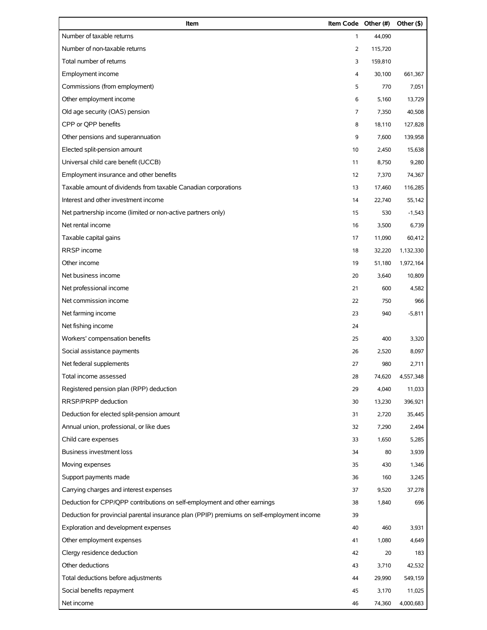| Item                                                                                       | Item Code Other (#) |         | Other (\$) |
|--------------------------------------------------------------------------------------------|---------------------|---------|------------|
| Number of taxable returns                                                                  | $\mathbf{1}$        | 44,090  |            |
| Number of non-taxable returns                                                              | $\overline{2}$      | 115,720 |            |
| Total number of returns                                                                    | 3                   | 159,810 |            |
| Employment income                                                                          | 4                   | 30,100  | 661,367    |
| Commissions (from employment)                                                              | 5                   | 770     | 7,051      |
| Other employment income                                                                    | 6                   | 5,160   | 13,729     |
| Old age security (OAS) pension                                                             | 7                   | 7,350   | 40,508     |
| CPP or OPP benefits                                                                        | 8                   | 18,110  | 127,828    |
| Other pensions and superannuation                                                          | 9                   | 7,600   | 139,958    |
| Elected split-pension amount                                                               | 10                  | 2,450   | 15,638     |
| Universal child care benefit (UCCB)                                                        | 11                  | 8,750   | 9,280      |
| Employment insurance and other benefits                                                    | 12                  | 7,370   | 74,367     |
| Taxable amount of dividends from taxable Canadian corporations                             | 13                  | 17,460  | 116,285    |
| Interest and other investment income                                                       | 14                  | 22,740  | 55,142     |
| Net partnership income (limited or non-active partners only)                               | 15                  | 530     | $-1,543$   |
| Net rental income                                                                          | 16                  | 3,500   | 6,739      |
| Taxable capital gains                                                                      | 17                  | 11,090  | 60,412     |
| RRSP income                                                                                | 18                  | 32,220  | 1,132,330  |
| Other income                                                                               | 19                  | 51,180  | 1,972,164  |
| Net business income                                                                        | 20                  | 3,640   | 10,809     |
| Net professional income                                                                    | 21                  | 600     | 4,582      |
| Net commission income                                                                      | 22                  | 750     | 966        |
| Net farming income                                                                         | 23                  | 940     | $-5,811$   |
| Net fishing income                                                                         | 24                  |         |            |
| Workers' compensation benefits                                                             | 25                  | 400     | 3,320      |
| Social assistance payments                                                                 | 26                  | 2,520   | 8,097      |
| Net federal supplements                                                                    | 27                  | 980     | 2,711      |
| Total income assessed                                                                      | 28                  | 74,620  | 4,557,348  |
| Registered pension plan (RPP) deduction                                                    | 29                  | 4,040   | 11,033     |
| RRSP/PRPP deduction                                                                        | 30                  | 13,230  | 396,921    |
| Deduction for elected split-pension amount                                                 | 31                  | 2,720   | 35,445     |
| Annual union, professional, or like dues                                                   | 32                  | 7,290   | 2,494      |
| Child care expenses                                                                        | 33                  | 1,650   | 5,285      |
| <b>Business investment loss</b>                                                            | 34                  | 80      | 3,939      |
| Moving expenses                                                                            | 35                  | 430     | 1,346      |
| Support payments made                                                                      | 36                  | 160     | 3,245      |
| Carrying charges and interest expenses                                                     | 37                  | 9,520   | 37,278     |
| Deduction for CPP/QPP contributions on self-employment and other earnings                  | 38                  | 1,840   | 696        |
| Deduction for provincial parental insurance plan (PPIP) premiums on self-employment income | 39                  |         |            |
| Exploration and development expenses                                                       | 40                  | 460     | 3,931      |
| Other employment expenses                                                                  | 41                  | 1,080   | 4,649      |
| Clergy residence deduction                                                                 | 42                  | 20      | 183        |
| Other deductions                                                                           | 43                  | 3,710   | 42,532     |
| Total deductions before adjustments                                                        | 44                  | 29,990  | 549,159    |
| Social benefits repayment                                                                  | 45                  | 3,170   | 11,025     |
| Net income                                                                                 | 46                  | 74,360  | 4,000,683  |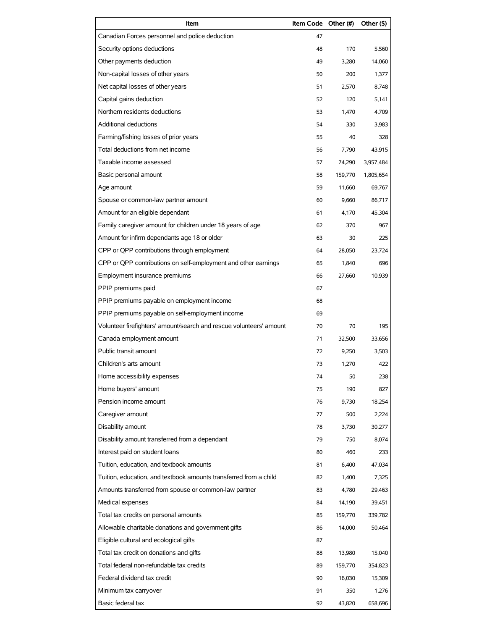| Item                                                                | Item Code Other (#) |         | Other (\$) |
|---------------------------------------------------------------------|---------------------|---------|------------|
| Canadian Forces personnel and police deduction                      | 47                  |         |            |
| Security options deductions                                         | 48                  | 170     | 5,560      |
| Other payments deduction                                            | 49                  | 3,280   | 14,060     |
| Non-capital losses of other years                                   | 50                  | 200     | 1,377      |
| Net capital losses of other years                                   | 51                  | 2,570   | 8,748      |
| Capital gains deduction                                             | 52                  | 120     | 5,141      |
| Northern residents deductions                                       | 53                  | 1,470   | 4,709      |
| Additional deductions                                               | 54                  | 330     | 3.983      |
| Farming/fishing losses of prior years                               | 55                  | 40      | 328        |
| Total deductions from net income                                    | 56                  | 7,790   | 43,915     |
| Taxable income assessed                                             | 57                  | 74,290  | 3,957,484  |
| Basic personal amount                                               | 58                  | 159,770 | 1,805,654  |
| Age amount                                                          | 59                  | 11.660  | 69,767     |
| Spouse or common-law partner amount                                 | 60                  | 9,660   | 86,717     |
| Amount for an eligible dependant                                    | 61                  | 4,170   | 45,304     |
| Family caregiver amount for children under 18 years of age          | 62                  | 370     | 967        |
| Amount for infirm dependants age 18 or older                        | 63                  | 30      | 225        |
| CPP or QPP contributions through employment                         | 64                  | 28,050  | 23,724     |
| CPP or QPP contributions on self-employment and other earnings      | 65                  | 1,840   | 696        |
| Employment insurance premiums                                       | 66                  | 27,660  | 10,939     |
| PPIP premiums paid                                                  | 67                  |         |            |
| PPIP premiums payable on employment income                          | 68                  |         |            |
| PPIP premiums payable on self-employment income                     | 69                  |         |            |
| Volunteer firefighters' amount/search and rescue volunteers' amount | 70                  | 70      | 195        |
| Canada employment amount                                            | 71                  | 32,500  | 33.656     |
| Public transit amount                                               | 72                  | 9,250   | 3,503      |
| Children's arts amount                                              | 73                  | 1,270   | 422        |
| Home accessibility expenses                                         | 74                  | 50      | 238        |
| Home buyers' amount                                                 | 75                  | 190     | 827        |
| Pension income amount                                               | 76                  | 9,730   | 18,254     |
| Caregiver amount                                                    | 77                  | 500     | 2,224      |
| Disability amount                                                   | 78                  | 3,730   | 30,277     |
| Disability amount transferred from a dependant                      | 79                  | 750     | 8,074      |
| Interest paid on student loans                                      | 80                  | 460     | 233        |
| Tuition, education, and textbook amounts                            | 81                  | 6,400   | 47,034     |
| Tuition, education, and textbook amounts transferred from a child   | 82                  | 1,400   | 7,325      |
| Amounts transferred from spouse or common-law partner               | 83                  | 4,780   | 29,463     |
| Medical expenses                                                    | 84                  | 14,190  | 39,451     |
| Total tax credits on personal amounts                               | 85                  | 159,770 | 339,782    |
| Allowable charitable donations and government gifts                 | 86                  | 14,000  | 50,464     |
| Eligible cultural and ecological gifts                              | 87                  |         |            |
| Total tax credit on donations and gifts                             | 88                  | 13,980  | 15,040     |
| Total federal non-refundable tax credits                            | 89                  | 159,770 | 354,823    |
| Federal dividend tax credit                                         | 90                  | 16,030  | 15,309     |
| Minimum tax carryover                                               | 91                  | 350     | 1,276      |
| Basic federal tax                                                   | 92                  | 43,820  | 658,696    |